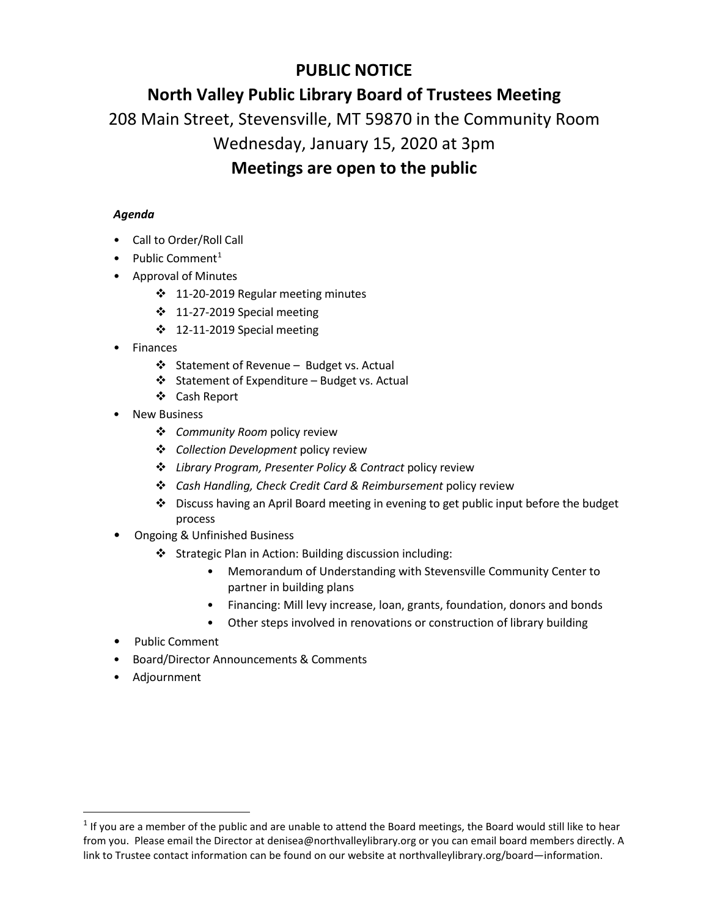# **PUBLIC NOTICE**

# **North Valley Public Library Board of Trustees Meeting**

208 Main Street, Stevensville, MT 59870 in the Community Room

### Wednesday, January 15, 2020 at 3pm

## **Meetings are open to the public**

### *Agenda*

- Call to Order/Roll Call
- Public Comment<sup>[1](#page-0-0)</sup>
- Approval of Minutes
	- 11-20-2019 Regular meeting minutes
	- 11-27-2019 Special meeting
	- $\div$  12-11-2019 Special meeting
- Finances
	- ❖ Statement of Revenue Budget vs. Actual
	- Statement of Expenditure Budget vs. Actual
	- Cash Report
- **New Business** 
	- *Community Room* policy review
	- *Collection Development* policy review
	- *Library Program, Presenter Policy & Contract* policy review
	- *Cash Handling, Check Credit Card & Reimbursement* policy review
	- $\div$  Discuss having an April Board meeting in evening to get public input before the budget process
- Ongoing & Unfinished Business
	- Strategic Plan in Action: Building discussion including:
		- Memorandum of Understanding with Stevensville Community Center to partner in building plans
		- Financing: Mill levy increase, loan, grants, foundation, donors and bonds
		- Other steps involved in renovations or construction of library building
- Public Comment
- Board/Director Announcements & Comments
- Adjournment

<span id="page-0-0"></span><sup>&</sup>lt;sup>1</sup> If you are a member of the public and are unable to attend the Board meetings, the Board would still like to hear from you. Please email the Director at denisea@northvalleylibrary.org or you can email board members directly. A link to Trustee contact information can be found on our website at northvalleylibrary.org/board—information.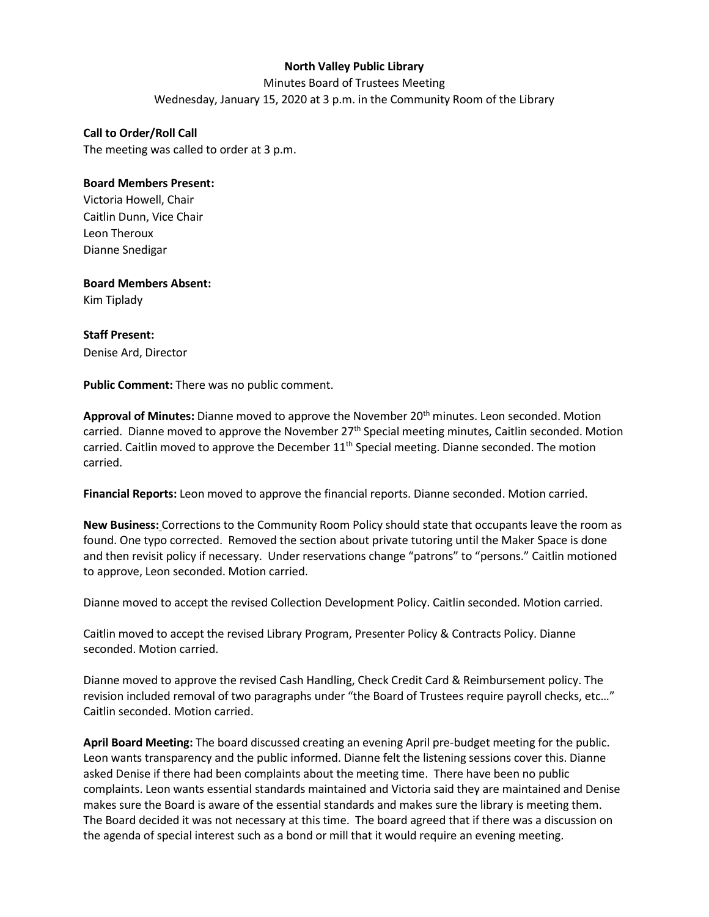#### **North Valley Public Library**

Minutes Board of Trustees Meeting Wednesday, January 15, 2020 at 3 p.m. in the Community Room of the Library

**Call to Order/Roll Call** The meeting was called to order at 3 p.m.

#### **Board Members Present:**

Victoria Howell, Chair Caitlin Dunn, Vice Chair Leon Theroux Dianne Snedigar

**Board Members Absent:** Kim Tiplady

**Staff Present:** Denise Ard, Director

**Public Comment:** There was no public comment.

**Approval of Minutes:** Dianne moved to approve the November 20th minutes. Leon seconded. Motion carried. Dianne moved to approve the November  $27<sup>th</sup>$  Special meeting minutes, Caitlin seconded. Motion carried. Caitlin moved to approve the December  $11<sup>th</sup>$  Special meeting. Dianne seconded. The motion carried.

**Financial Reports:** Leon moved to approve the financial reports. Dianne seconded. Motion carried.

**New Business:** Corrections to the Community Room Policy should state that occupants leave the room as found. One typo corrected. Removed the section about private tutoring until the Maker Space is done and then revisit policy if necessary. Under reservations change "patrons" to "persons." Caitlin motioned to approve, Leon seconded. Motion carried.

Dianne moved to accept the revised Collection Development Policy. Caitlin seconded. Motion carried.

Caitlin moved to accept the revised Library Program, Presenter Policy & Contracts Policy. Dianne seconded. Motion carried.

Dianne moved to approve the revised Cash Handling, Check Credit Card & Reimbursement policy. The revision included removal of two paragraphs under "the Board of Trustees require payroll checks, etc…" Caitlin seconded. Motion carried.

**April Board Meeting:** The board discussed creating an evening April pre-budget meeting for the public. Leon wants transparency and the public informed. Dianne felt the listening sessions cover this. Dianne asked Denise if there had been complaints about the meeting time. There have been no public complaints. Leon wants essential standards maintained and Victoria said they are maintained and Denise makes sure the Board is aware of the essential standards and makes sure the library is meeting them. The Board decided it was not necessary at this time. The board agreed that if there was a discussion on the agenda of special interest such as a bond or mill that it would require an evening meeting.